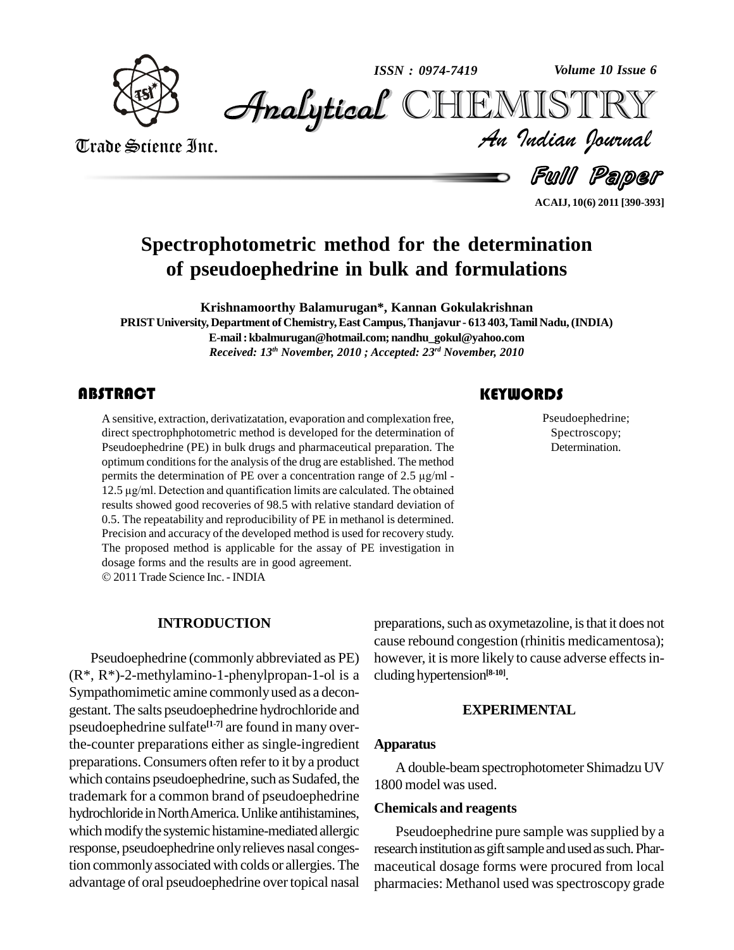

*Volume 10 Issue 6*



Trade Science Inc. Trade Science Inc. *Volume 10 Issue 6*<br>IISTRY<br>*Indian Iournal* 

Full Paper

**ACAIJ, 10(6) 2011 [390-393]**

# **Spectrophotometric method for the determination of pseudoephedrine in bulk and formulations**

**Krishnamoorthy Balamurugan\*, Kannan Gokulakrishnan PRISTUniversity, Department of Chemistry,East Campus,Thanjavur - 613 403,Tamil Nadu,(INDIA) E-mail:[kbalmurugan@hotmail.com;](mailto:balmurugan@hotmail.com;) [nandhu\\_gokul@yahoo.com](mailto:nandhu_gokul@yahoo.com)** *Received: 13 th November, 2010 ; Accepted: 23 rd November, 2010*

### **ABSTRACT**

A sensitive, extraction, derivatizatation, evaporation and complexation free, direct spectrophphotometric method is developed for the determination of Pseudoephedrine (PE) in bulk drugs and pharmaceutical preparation. The A sensitive, extraction, derivatizatation, evaporation and complexation free, direct spectrophphotometric method is developed for the determination of optimum conditions for the analysis of the drug are established. The method Pseudoephedrine (PE) in bulk drugs and pharmaceutical preparation. The optimum conditions for the analysis of the drug are established. The method permits the determination of PE over a concentration range of 2.5 µg/ml optimum conditions for the analysis of the drug are established. The method<br>permits the determination of PE over a concentration range of 2.5  $\mu$ g/ml -<br>12.5  $\mu$ g/ml. Detection and quantification limits are calculated. T results showed good recoveries of 98.5 with relative standard deviation of 0.5. The repeatability and reproducibility of PE in methanol is determined. Precision and accuracy of the developed method is used for recovery study. The proposed method is applicable for the assay of PE investigation in dosage forms and the results are in good agreement. 2011Trade Science Inc. -INDIA

Pseudoephedri<br>Spectroscopy<br>Determination Pseudoephedrine; Spectroscopy; Determination.

#### **INTRODUCTION**

Pseudoephedrine (commonly abbreviated as PE) (R\*, R\*)-2-methylamino-1-phenylpropan-1-ol is a Sympathomimetic amine commonlyused as a decon gestant. The salts pseudoephedrine hydrochloride and pseudoephedrine sulfate **[1-7]** are found in many overthe-counter preparations either as single-ingredient preparations.Consumers often refer to it by a product which contains pseudoephedrine, such as Sudafed, the trademark for a common brand of pseudoephedrine hydrochloride in North America. Unlike antihistamines, which modify the systemic histamine-mediated allergic response, pseudoephedrine onlyrelieves nasal congestion commonlyassociated with colds or allergies. The advantage of oral pseudoephedrine overtopical nasal

preparations, such as oxymetazoline, is that it does not cause rebound congestion (rhinitis medicamentosa); however, it is more likely to cause adverse effects including hypertension **[8-10]**.

#### **EXPERIMENTAL**

#### **Apparatus**

A double-beamspectrophotometer Shimadzu UV 1800 model was used.

#### **Chemicals and reagents**

Pseudoephedrine pure sample was supplied by a research institution as gift sample and used as such. Pharmaceutical dosage forms were procured from local pharmacies: Methanol used was spectroscopy grade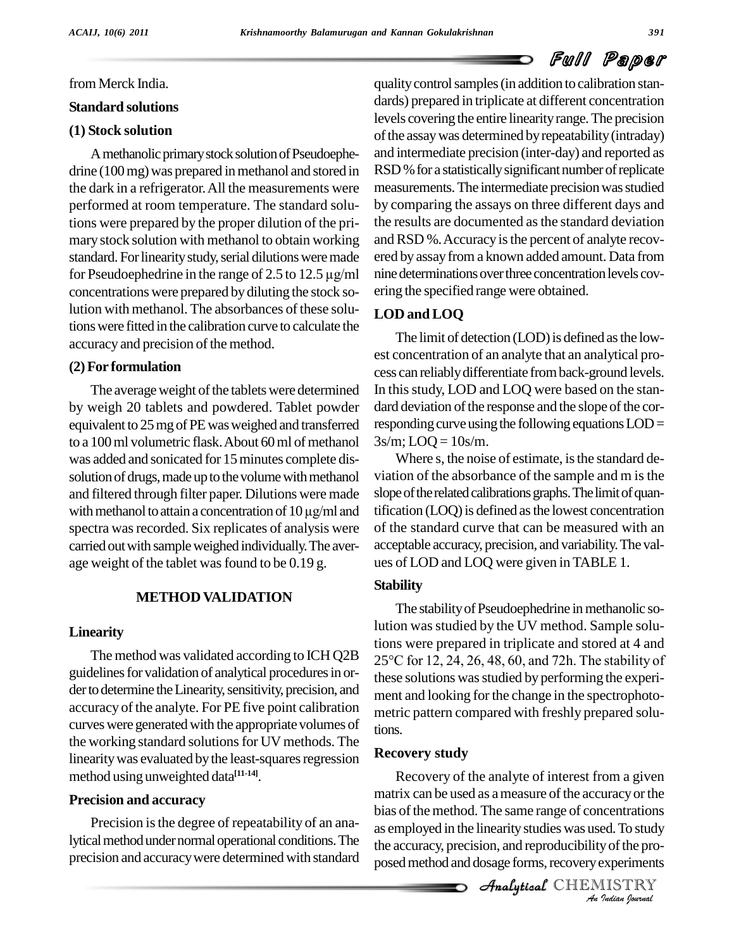# Full Paper

#### from Merck India.

#### **Standard solutions**

#### **(1) Stock solution**

A methanolic primary stock solution of Pseudoephedrine (100 mg) was prepared in methanol and stored in the dark in a refrigerator.All the measurements were performed at room temperature. The standard solutions were prepared by the proper dilution of the pri mary stock solution with methanol to obtain working standard. For linearity study, serial dilutions were made ered b mary stock solution with methanol to obtain working and standard. For linearity study, serial dilutions were made ere for Pseudoephedrine in the range of 2.5 to 12.5  $\mu$ g/ml nin concentrations were prepared bydiluting the stock solution with methanol. The absorbances of these solutionswere fitted in the calibration curve to calculate the accuracy and precision of the method.

#### **(2)For formulation**

The average weight of the tablets were determined by weigh 20 tablets and powdered. Tablet powder equivalent to 25 mg of PE was weighed and transferred to a 100 ml volumetric flask. About 60 ml of methanol was added and sonicated for 15 minutes complete dissolution of drugs, made up to the volume with methanol and filtered through filter paper. Dilutions were made solution of drugs, made up to the volume with methanol viation<br>and filtered through filter paper. Dilutions were made slope of<br>with methanol to attain a concentration of  $10 \mu g/ml$  and tification spectra was recorded. Six replicates of analysis were carried outwith sampleweighed individually.The aver age weight of the tablet was found to be 0.19 g.

#### **METHOD VALIDATION**

#### **Linearity**

The method was validated according to ICH Q2B guidelines for validation of analytical procedures in or-<br>der to determine the Linearity, sensitivity, precision, and accuracy of the analyte. For PE five point calibration curves were generated with the appropriate volumes of the working standard solutions for UV methods. The linearity was evaluated by the least-squares regression method using unweighted data **[11-14]**.

#### **Precision and accuracy**

Precision is the degree of repeatability of an analytical method under normal operational conditions. The precision and accuracy were determined with standard qualitycontrolsamples(in addition to calibration stan dards) prepared in triplicate at different concentration levels covering the entire linearity range. The precision of the assay was determined by repeatability (intraday) and intermediate precision (inter-day) and reported as RSD % for a statistically significant number of replicate measurements. The intermediate precision was studied by comparing the assays on three different days and the results are documented asthe standard deviation and RSD %. Accuracy is the percent of analyte recovered by assayfrom a known added amount. Data from nine determinations over three concentration levels covering the specified range were obtained.

### **LOD andLOQ**

The limit of detection (LOD) is defined as the lowest concentration of an analyte that an analytical pro cess can reliablydifferentiate fromback-ground levels. In this study, LOD and LOQ were based on the standard deviation of the response and the slope of the corresponding curve using the following equations  $LOD=$  $3s/m$ ; LOQ =  $10s/m$ .

Where s, the noise of estimate, is the standard deviation of the absorbance of the sample and m isthe slope of the related calibrations graphs. The limit of quantification (LOQ) is defined as the lowest concentration of the standard curve that can be measured with an acceptable accuracy, precision, and variability.The val ues of LOD and LOQ were given inTABLE 1.

#### **Stability**

The stability of Pseudoephedrine in methanolic solution was studied by the UV method. Sample solutions were prepared in triplicate and stored at 4 and <sup>25</sup>°C for 12, 24, 26, 48, 60, and 72h. The stability of these solutions was studied by performing the experiment and looking for the change in the spectrophoto metric pattern compared with freshly prepared solutions.

#### **Recovery study**

matrix can be used as a measure of the accuracy or the *Indian Indiana Casa a measure of the accuracy or the*<br>
bias of the method. The same range of concentrations<br>
as employed in the linearity studies was used. To study<br>
the accuracy, precision, and reproducibility of the p Recovery of the analyte of interest from a given as employed in the linearity studies was used. To study the accuracy, precision, and reproducibility of the proposed method and dosage forms, recovery experiments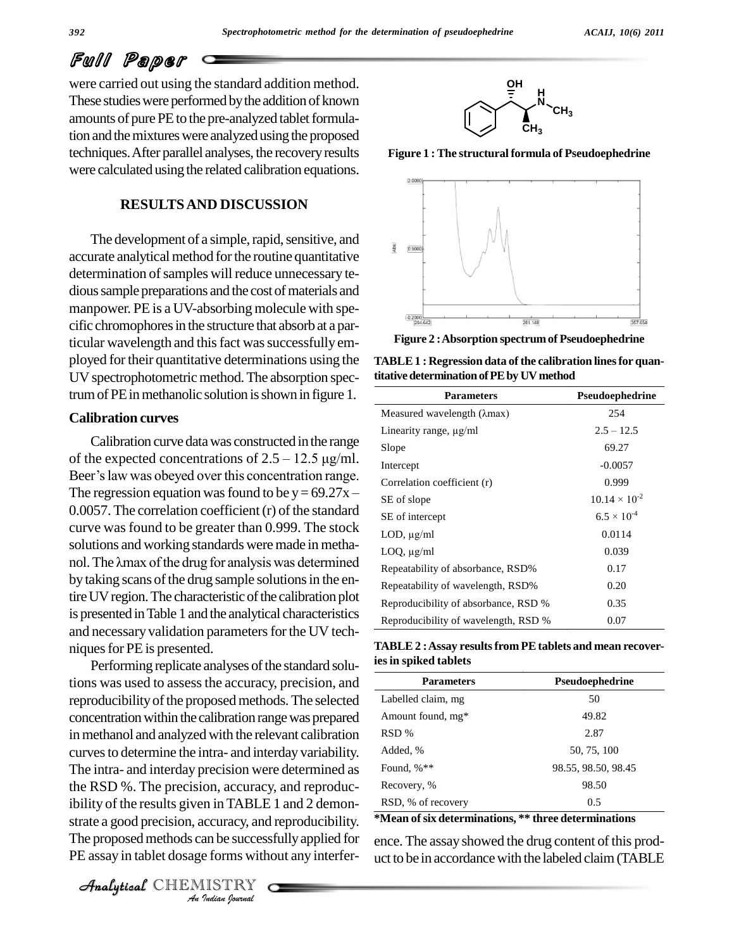# Full Paper

were carried out using the standard addition method. These studies were performed by the addition of known amounts of pure PE to the pre-analyzed tablet formulation and the mixtures were analyzed using the proposed techniques.After parallel analyses, the recoveryresults were calculated using the related calibration equations.

#### **RESULTSAND DISCUSSION**

The development of a simple, rapid, sensitive, and accurate analytical method for the routine quantitative determination of samples will reduce unnecessary tedious sample preparations and the cost of materials and manpower. PE is a UV-absorbing molecule with spe cific chromophores in the structure that absorb at a particular wavelength and this fact was successfully employed fortheir quantitative determinations using the UV spectrophotometric method. The absorption spectrum of PE in methanolic solution is shown in figure 1.

#### **Calibration curves**

Calibration curve datawas constructed inthe range **Calibration curves**<br>Calibration curve data was constructed in the range<br>of the expected concentrations of 2.5 – 12.5  $\mu$ g/ml. Calibration curve data was constructed in the range<br>of the expected concentrations of  $2.5 - 12.5 \mu g/ml$ .<br>Beer's law was obeyed over this concentration range. of the expected concentrations of 2.5 – 12.5  $\mu$ g/ml.<br>Beer's law was obeyed over this concentration range.<br>The regression equation was found to be  $y = 69.27x 0.0057$ . The correlation coefficient  $(r)$  of the standard curve was found to be greater than 0.999. The stock<br>solutions and working standards were made in metha-<br>nol. The  $\lambda$ max of the drug for analysis was determined solutions and working standards were made in metha by taking scans of the drug sample solutions in the entire UV region. The characteristic of the calibration plot is presentedinTable 1 and the analytical characteristics and necessary validation parameters for the UV techniques for PE is presented.

*Analytical Lieumannia in TABLE 1 and 2 demon-*  $\overline{RS}$ *In in TABLE*<br>*Indian* be successed forms with<br>*ISTRY* Performing replicate analyses of the standard solutions was used to assessthe accuracy, precision, and reproducibility of the proposed methods. The selected concentration within the calibration range was prepared in methanol and analyzed with the relevant calibration curves to determine the intra- and interday variability. The intra- and interday precision were determined as the RSD %. The precision, accuracy, and reproducstrate a good precision, accuracy, and reproducibility. The proposed methods can be successfully applied for ence. The assay showed the drug content of this prod-

CHEMISTRY



**Figure 1 : The structural formula of Pseudoephedrine**



**Figure 2 :Absorption spectrumof Pseudoephedrine**

**TABLE1 : Regression data of the calibration linesfor quantitativedeterminationofPEby UVmethod**

| <b>Parameters</b>                    | Pseudoephedrine        |
|--------------------------------------|------------------------|
| Measured wavelength (λmax)           | 254                    |
| Linearity range, $\mu$ g/ml          | $2.5 - 12.5$           |
| Slope                                | 69.27                  |
| Intercept                            | $-0.0057$              |
| Correlation coefficient (r)          | 0.999                  |
| SE of slope                          | $10.14 \times 10^{-2}$ |
| SE of intercept                      | $6.5 \times 10^{-4}$   |
| LOD, $\mu$ g/ml                      | 0.0114                 |
| $LOQ$ , $\mu$ g/ml                   | 0.039                  |
| Repeatability of absorbance, RSD%    | 0.17                   |
| Repeatability of wavelength, RSD%    | 0.20                   |
| Reproducibility of absorbance, RSD % | 0.35                   |
| Reproducibility of wavelength, RSD % | 0.07                   |

**TABLE2 :Assay resultsfrom PEtablets and mean recoveriesin spiked tablets**

| <b>Parameters</b>  | <b>Pseudoephedrine</b> |
|--------------------|------------------------|
| Labelled claim, mg | 50                     |
| Amount found, mg*  | 49.82                  |
| RSD %              | 2.87                   |
| Added, %           | 50, 75, 100            |
| Found, $%**$       | 98.55, 98.50, 98.45    |
| Recovery, %        | 98.50                  |
| RSD, % of recovery | 0.5                    |
|                    |                        |

**\*Mean ofsix determinations, \*\* three determinations**

PE assay in tablet dosage forms without any interfer- uct to be in accordance with the labeled claim (TABLE